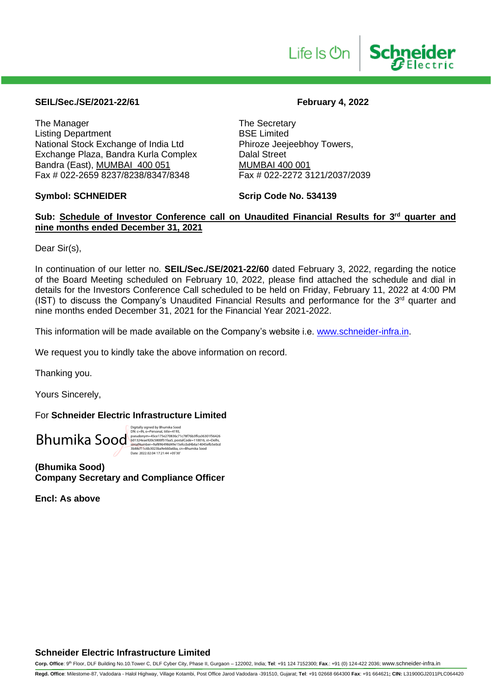

# **SEIL/Sec./SE/2021-22/61 February 4, 2022**

The Manager<br>
Listing Department<br>
Listing Department<br>
The Secretary<br>
BSE Limited Listing Department<br>
National Stock Exchange of India Ltd
Bhiroze Jeejeebhoy Towers, National Stock Exchange of India Ltd Exchange Plaza, Bandra Kurla Complex Dalal Street Bandra (East), MUMBAI 400 051 MUMBAI 400 001<br>Fax # 022-2659 8237/8238/8347/8348 Fax # 022-2272 3121/2037/2039 Fax # 022-2659 8237/8238/8347/8348

**Symbol: SCHNEIDER Scrip Code No. 534139** 

# Sub: Schedule of Investor Conference call on Unaudited Financial Results for 3<sup>rd</sup> quarter and **nine months ended December 31, 2021**

Dear Sir(s),

In continuation of our letter no. **SEIL/Sec./SE/2021-22/60** dated February 3, 2022, regarding the notice of the Board Meeting scheduled on February 10, 2022, please find attached the schedule and dial in details for the Investors Conference Call scheduled to be held on Friday, February 11, 2022 at 4:00 PM (IST) to discuss the Company's Unaudited Financial Results and performance for the  $3<sup>rd</sup>$  quarter and nine months ended December 31, 2021 for the Financial Year 2021-2022.

This information will be made available on the Company's website i.e. [www.schneider-infra.in.](http://www.schneider-infra.in/)

We request you to kindly take the above information on record.

Thanking you.

Yours Sincerely,

For **Schneider Electric Infrastructure Limited**



Digitally signed by Bhumika Sood<br>Dik: Cliff, Space 2013, 1982–1993, 2001<br>pseudonym=45ce 175e270836c71c78f76b3ffca36301f5642<br>b01324eae920c580051faa5, postalCode=110016, st=Delhi,<br>serialNumber=9af896498d349c15efccbd4b6a14045

**(Bhumika Sood) Company Secretary and Compliance Officer**

**Encl: As above**

# **Schneider Electric Infrastructure Limited**

**Corp. Office**: 9th Floor, DLF Building No.10.Tower C, DLF Cyber City, Phase II, Gurgaon – 122002, India; **Tel**: +91 124 7152300; **Fax**.: +91 (0) 124-422 2036; www.schneider-infra.in

**Regd. Office**: Milestome-87, Vadodara - Halol Highway, Village Kotambi, Post Office Jarod Vadodara -391510, Gujarat; **Tel**: +91 02668 664300 **Fax**: +91 664621**; CIN:** L31900GJ2011PLC064420